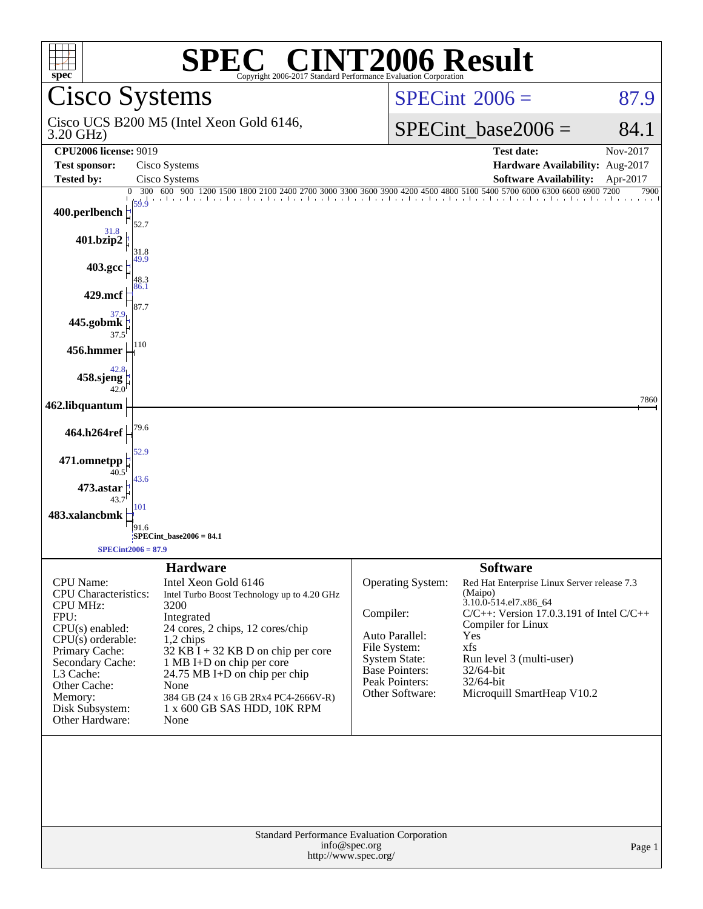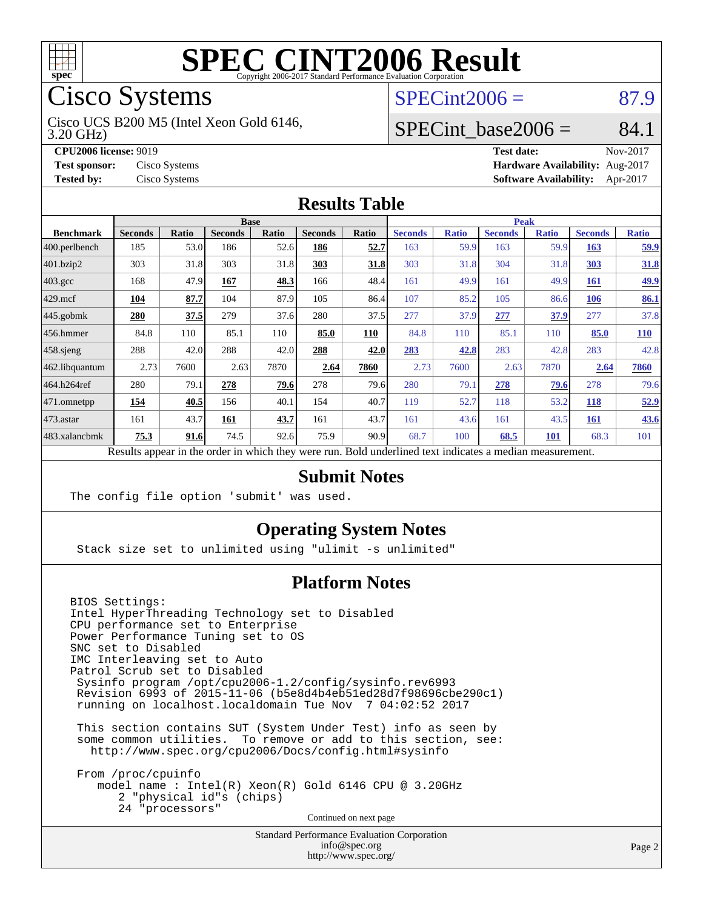

# Cisco Systems

3.20 GHz) Cisco UCS B200 M5 (Intel Xeon Gold 6146,

**[Tested by:](http://www.spec.org/auto/cpu2006/Docs/result-fields.html#Testedby)** Cisco Systems **[Software Availability:](http://www.spec.org/auto/cpu2006/Docs/result-fields.html#SoftwareAvailability)** Apr-2017

### $SPECint2006 = 87.9$  $SPECint2006 = 87.9$

#### SPECint base2006 =  $84.1$

**[CPU2006 license:](http://www.spec.org/auto/cpu2006/Docs/result-fields.html#CPU2006license)** 9019 **[Test date:](http://www.spec.org/auto/cpu2006/Docs/result-fields.html#Testdate)** Nov-2017 **[Test sponsor:](http://www.spec.org/auto/cpu2006/Docs/result-fields.html#Testsponsor)** Cisco Systems **[Hardware Availability:](http://www.spec.org/auto/cpu2006/Docs/result-fields.html#HardwareAvailability)** Aug-2017

#### **[Results Table](http://www.spec.org/auto/cpu2006/Docs/result-fields.html#ResultsTable)**

|                   | <b>Base</b>                                                                                              |              |                |       |                |       |                | <b>Peak</b>  |                |              |                |              |  |
|-------------------|----------------------------------------------------------------------------------------------------------|--------------|----------------|-------|----------------|-------|----------------|--------------|----------------|--------------|----------------|--------------|--|
| <b>Benchmark</b>  | <b>Seconds</b>                                                                                           | <b>Ratio</b> | <b>Seconds</b> | Ratio | <b>Seconds</b> | Ratio | <b>Seconds</b> | <b>Ratio</b> | <b>Seconds</b> | <b>Ratio</b> | <b>Seconds</b> | <b>Ratio</b> |  |
| $ 400$ .perlbench | 185                                                                                                      | 53.0         | 186            | 52.6  | 186            | 52.7  | 163            | 59.9         | 163            | 59.9         | 163            | <u>59.9</u>  |  |
| 401.bzip2         | 303                                                                                                      | 31.8         | 303            | 31.8  | 303            | 31.8  | 303            | 31.8         | 304            | 31.8         | <b>303</b>     | 31.8         |  |
| $403.\text{gcc}$  | 168                                                                                                      | 47.9         | 167            | 48.3  | 166            | 48.4  | 161            | 49.9         | 161            | 49.9         | 161            | <u>49.9</u>  |  |
| $429$ mcf         | 104                                                                                                      | 87.7         | 104            | 87.9  | 105            | 86.4  | 107            | 85.2         | 105            | 86.6         | <b>106</b>     | 86.1         |  |
| $445$ .gobmk      | 280                                                                                                      | 37.5         | 279            | 37.6  | 280            | 37.5  | 277            | 37.9         | 277            | 37.9         | 277            | 37.8         |  |
| $456.$ hmmer      | 84.8                                                                                                     | 110          | 85.1           | 110   | 85.0           | 110   | 84.8           | 110          | 85.1           | 110          | 85.0           | 110          |  |
| $458$ .sjeng      | 288                                                                                                      | 42.0         | 288            | 42.0  | 288            | 42.0  | 283            | 42.8         | 283            | 42.8         | 283            | 42.8         |  |
| 462.libquantum    | 2.73                                                                                                     | 7600         | 2.63           | 7870  | 2.64           | 7860  | 2.73           | 7600         | 2.63           | 7870         | 2.64           | 7860         |  |
| 464.h264ref       | 280                                                                                                      | 79.1         | 278            | 79.6  | 278            | 79.6  | 280            | 79.1         | 278            | 79.6         | 278            | 79.6         |  |
| $ 471$ .omnetpp   | 154                                                                                                      | 40.5         | 156            | 40.1  | 154            | 40.7  | 119            | 52.7         | 118            | 53.2         | <b>118</b>     | 52.9         |  |
| $473$ . astar     | 161                                                                                                      | 43.7         | 161            | 43.7  | 161            | 43.7  | 161            | 43.6         | 161            | 43.5         | 161            | 43.6         |  |
| 483.xalancbmk     | 75.3                                                                                                     | 91.6         | 74.5           | 92.6  | 75.9           | 90.9  | 68.7           | 100          | 68.5           | 101          | 68.3           | 101          |  |
|                   | Results appear in the order in which they were run. Bold underlined text indicates a median measurement. |              |                |       |                |       |                |              |                |              |                |              |  |

#### **[Submit Notes](http://www.spec.org/auto/cpu2006/Docs/result-fields.html#SubmitNotes)**

The config file option 'submit' was used.

#### **[Operating System Notes](http://www.spec.org/auto/cpu2006/Docs/result-fields.html#OperatingSystemNotes)**

Stack size set to unlimited using "ulimit -s unlimited"

#### **[Platform Notes](http://www.spec.org/auto/cpu2006/Docs/result-fields.html#PlatformNotes)**

BIOS Settings: Intel HyperThreading Technology set to Disabled CPU performance set to Enterprise Power Performance Tuning set to OS SNC set to Disabled IMC Interleaving set to Auto Patrol Scrub set to Disabled Sysinfo program /opt/cpu2006-1.2/config/sysinfo.rev6993 Revision 6993 of 2015-11-06 (b5e8d4b4eb51ed28d7f98696cbe290c1) running on localhost.localdomain Tue Nov 7 04:02:52 2017 This section contains SUT (System Under Test) info as seen by some common utilities. To remove or add to this section, see: <http://www.spec.org/cpu2006/Docs/config.html#sysinfo> From /proc/cpuinfo model name : Intel(R) Xeon(R) Gold 6146 CPU @ 3.20GHz

 2 "physical id"s (chips) 24 "processors"

Continued on next page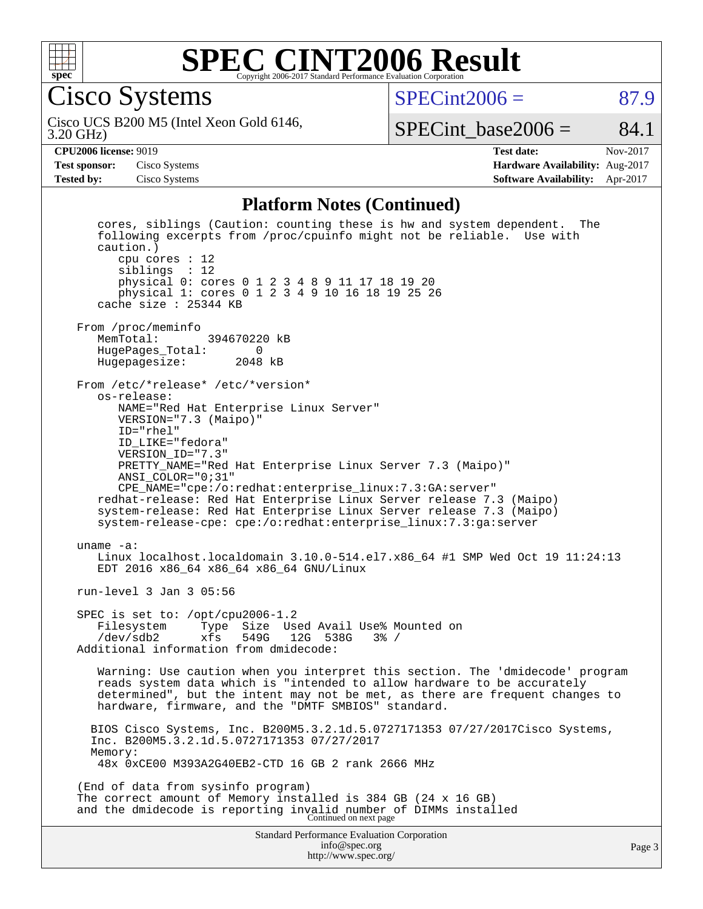

Cisco Systems

 $SPECint2006 = 87.9$  $SPECint2006 = 87.9$ 

3.20 GHz) Cisco UCS B200 M5 (Intel Xeon Gold 6146,

SPECint base2006 =  $84.1$ 

**[Test sponsor:](http://www.spec.org/auto/cpu2006/Docs/result-fields.html#Testsponsor)** Cisco Systems **[Hardware Availability:](http://www.spec.org/auto/cpu2006/Docs/result-fields.html#HardwareAvailability)** Aug-2017

**[CPU2006 license:](http://www.spec.org/auto/cpu2006/Docs/result-fields.html#CPU2006license)** 9019 **[Test date:](http://www.spec.org/auto/cpu2006/Docs/result-fields.html#Testdate)** Nov-2017 **[Tested by:](http://www.spec.org/auto/cpu2006/Docs/result-fields.html#Testedby)** Cisco Systems **[Software Availability:](http://www.spec.org/auto/cpu2006/Docs/result-fields.html#SoftwareAvailability)** Apr-2017

#### **[Platform Notes \(Continued\)](http://www.spec.org/auto/cpu2006/Docs/result-fields.html#PlatformNotes)**

Standard Performance Evaluation Corporation [info@spec.org](mailto:info@spec.org) <http://www.spec.org/> Page 3 cores, siblings (Caution: counting these is hw and system dependent. The following excerpts from /proc/cpuinfo might not be reliable. Use with caution.) cpu cores : 12 siblings : 12 physical 0: cores 0 1 2 3 4 8 9 11 17 18 19 20 physical 1: cores 0 1 2 3 4 9 10 16 18 19 25 26 cache size : 25344 KB From /proc/meminfo<br>MemTotal: 394670220 kB HugePages\_Total: 0 Hugepagesize: 2048 kB From /etc/\*release\* /etc/\*version\* os-release: NAME="Red Hat Enterprise Linux Server" VERSION="7.3 (Maipo)" ID="rhel" ID\_LIKE="fedora" VERSION\_ID="7.3" PRETTY\_NAME="Red Hat Enterprise Linux Server 7.3 (Maipo)" ANSI\_COLOR="0;31" CPE\_NAME="cpe:/o:redhat:enterprise\_linux:7.3:GA:server" redhat-release: Red Hat Enterprise Linux Server release 7.3 (Maipo) system-release: Red Hat Enterprise Linux Server release 7.3 (Maipo) system-release-cpe: cpe:/o:redhat:enterprise\_linux:7.3:ga:server uname -a: Linux localhost.localdomain 3.10.0-514.el7.x86\_64 #1 SMP Wed Oct 19 11:24:13 EDT 2016 x86\_64 x86\_64 x86\_64 GNU/Linux run-level 3 Jan 3 05:56 SPEC is set to: /opt/cpu2006-1.2 Filesystem Type Size Used Avail Use% Mounted on<br>/dev/sdb2 xfs 549G 12G 538G 3% / /dev/sdb2 xfs 549G 12G 538G 3% / Additional information from dmidecode: Warning: Use caution when you interpret this section. The 'dmidecode' program reads system data which is "intended to allow hardware to be accurately determined", but the intent may not be met, as there are frequent changes to hardware, firmware, and the "DMTF SMBIOS" standard. BIOS Cisco Systems, Inc. B200M5.3.2.1d.5.0727171353 07/27/2017Cisco Systems, Inc. B200M5.3.2.1d.5.0727171353 07/27/2017 Memory: 48x 0xCE00 M393A2G40EB2-CTD 16 GB 2 rank 2666 MHz (End of data from sysinfo program) The correct amount of Memory installed is 384 GB (24 x 16 GB) and the dmidecode is reporting invalid number of DIMMs installed Continued on next page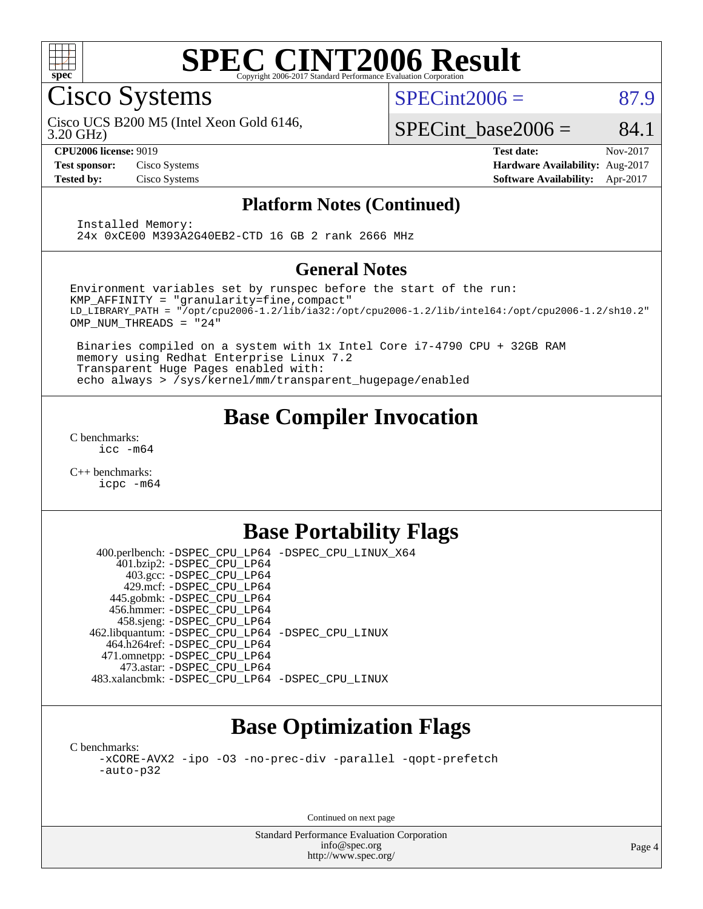

Cisco Systems

 $SPECint2006 = 87.9$  $SPECint2006 = 87.9$ 

3.20 GHz) Cisco UCS B200 M5 (Intel Xeon Gold 6146,

SPECint base2006 =  $84.1$ 

**[CPU2006 license:](http://www.spec.org/auto/cpu2006/Docs/result-fields.html#CPU2006license)** 9019 **[Test date:](http://www.spec.org/auto/cpu2006/Docs/result-fields.html#Testdate)** Nov-2017 **[Test sponsor:](http://www.spec.org/auto/cpu2006/Docs/result-fields.html#Testsponsor)** Cisco Systems **[Hardware Availability:](http://www.spec.org/auto/cpu2006/Docs/result-fields.html#HardwareAvailability)** Aug-2017 **[Tested by:](http://www.spec.org/auto/cpu2006/Docs/result-fields.html#Testedby)** Cisco Systems **[Software Availability:](http://www.spec.org/auto/cpu2006/Docs/result-fields.html#SoftwareAvailability)** Apr-2017

#### **[Platform Notes \(Continued\)](http://www.spec.org/auto/cpu2006/Docs/result-fields.html#PlatformNotes)**

 Installed Memory: 24x 0xCE00 M393A2G40EB2-CTD 16 GB 2 rank 2666 MHz

#### **[General Notes](http://www.spec.org/auto/cpu2006/Docs/result-fields.html#GeneralNotes)**

Environment variables set by runspec before the start of the run: KMP\_AFFINITY = "granularity=fine,compact" LD\_LIBRARY\_PATH = "/opt/cpu2006-1.2/lib/ia32:/opt/cpu2006-1.2/lib/intel64:/opt/cpu2006-1.2/sh10.2" OMP\_NUM\_THREADS = "24"

 Binaries compiled on a system with 1x Intel Core i7-4790 CPU + 32GB RAM memory using Redhat Enterprise Linux 7.2 Transparent Huge Pages enabled with: echo always > /sys/kernel/mm/transparent\_hugepage/enabled

### **[Base Compiler Invocation](http://www.spec.org/auto/cpu2006/Docs/result-fields.html#BaseCompilerInvocation)**

[C benchmarks](http://www.spec.org/auto/cpu2006/Docs/result-fields.html#Cbenchmarks): [icc -m64](http://www.spec.org/cpu2006/results/res2017q4/cpu2006-20171114-50707.flags.html#user_CCbase_intel_icc_64bit_bda6cc9af1fdbb0edc3795bac97ada53)

[C++ benchmarks:](http://www.spec.org/auto/cpu2006/Docs/result-fields.html#CXXbenchmarks) [icpc -m64](http://www.spec.org/cpu2006/results/res2017q4/cpu2006-20171114-50707.flags.html#user_CXXbase_intel_icpc_64bit_fc66a5337ce925472a5c54ad6a0de310)

### **[Base Portability Flags](http://www.spec.org/auto/cpu2006/Docs/result-fields.html#BasePortabilityFlags)**

 400.perlbench: [-DSPEC\\_CPU\\_LP64](http://www.spec.org/cpu2006/results/res2017q4/cpu2006-20171114-50707.flags.html#b400.perlbench_basePORTABILITY_DSPEC_CPU_LP64) [-DSPEC\\_CPU\\_LINUX\\_X64](http://www.spec.org/cpu2006/results/res2017q4/cpu2006-20171114-50707.flags.html#b400.perlbench_baseCPORTABILITY_DSPEC_CPU_LINUX_X64) 401.bzip2: [-DSPEC\\_CPU\\_LP64](http://www.spec.org/cpu2006/results/res2017q4/cpu2006-20171114-50707.flags.html#suite_basePORTABILITY401_bzip2_DSPEC_CPU_LP64) 403.gcc: [-DSPEC\\_CPU\\_LP64](http://www.spec.org/cpu2006/results/res2017q4/cpu2006-20171114-50707.flags.html#suite_basePORTABILITY403_gcc_DSPEC_CPU_LP64) 429.mcf: [-DSPEC\\_CPU\\_LP64](http://www.spec.org/cpu2006/results/res2017q4/cpu2006-20171114-50707.flags.html#suite_basePORTABILITY429_mcf_DSPEC_CPU_LP64) 445.gobmk: [-DSPEC\\_CPU\\_LP64](http://www.spec.org/cpu2006/results/res2017q4/cpu2006-20171114-50707.flags.html#suite_basePORTABILITY445_gobmk_DSPEC_CPU_LP64) 456.hmmer: [-DSPEC\\_CPU\\_LP64](http://www.spec.org/cpu2006/results/res2017q4/cpu2006-20171114-50707.flags.html#suite_basePORTABILITY456_hmmer_DSPEC_CPU_LP64) 458.sjeng: [-DSPEC\\_CPU\\_LP64](http://www.spec.org/cpu2006/results/res2017q4/cpu2006-20171114-50707.flags.html#suite_basePORTABILITY458_sjeng_DSPEC_CPU_LP64) 462.libquantum: [-DSPEC\\_CPU\\_LP64](http://www.spec.org/cpu2006/results/res2017q4/cpu2006-20171114-50707.flags.html#suite_basePORTABILITY462_libquantum_DSPEC_CPU_LP64) [-DSPEC\\_CPU\\_LINUX](http://www.spec.org/cpu2006/results/res2017q4/cpu2006-20171114-50707.flags.html#b462.libquantum_baseCPORTABILITY_DSPEC_CPU_LINUX) 464.h264ref: [-DSPEC\\_CPU\\_LP64](http://www.spec.org/cpu2006/results/res2017q4/cpu2006-20171114-50707.flags.html#suite_basePORTABILITY464_h264ref_DSPEC_CPU_LP64) 471.omnetpp: [-DSPEC\\_CPU\\_LP64](http://www.spec.org/cpu2006/results/res2017q4/cpu2006-20171114-50707.flags.html#suite_basePORTABILITY471_omnetpp_DSPEC_CPU_LP64) 473.astar: [-DSPEC\\_CPU\\_LP64](http://www.spec.org/cpu2006/results/res2017q4/cpu2006-20171114-50707.flags.html#suite_basePORTABILITY473_astar_DSPEC_CPU_LP64) 483.xalancbmk: [-DSPEC\\_CPU\\_LP64](http://www.spec.org/cpu2006/results/res2017q4/cpu2006-20171114-50707.flags.html#suite_basePORTABILITY483_xalancbmk_DSPEC_CPU_LP64) [-DSPEC\\_CPU\\_LINUX](http://www.spec.org/cpu2006/results/res2017q4/cpu2006-20171114-50707.flags.html#b483.xalancbmk_baseCXXPORTABILITY_DSPEC_CPU_LINUX)

# **[Base Optimization Flags](http://www.spec.org/auto/cpu2006/Docs/result-fields.html#BaseOptimizationFlags)**

[C benchmarks](http://www.spec.org/auto/cpu2006/Docs/result-fields.html#Cbenchmarks): [-xCORE-AVX2](http://www.spec.org/cpu2006/results/res2017q4/cpu2006-20171114-50707.flags.html#user_CCbase_f-xCORE-AVX2) [-ipo](http://www.spec.org/cpu2006/results/res2017q4/cpu2006-20171114-50707.flags.html#user_CCbase_f-ipo) [-O3](http://www.spec.org/cpu2006/results/res2017q4/cpu2006-20171114-50707.flags.html#user_CCbase_f-O3) [-no-prec-div](http://www.spec.org/cpu2006/results/res2017q4/cpu2006-20171114-50707.flags.html#user_CCbase_f-no-prec-div) [-parallel](http://www.spec.org/cpu2006/results/res2017q4/cpu2006-20171114-50707.flags.html#user_CCbase_f-parallel) [-qopt-prefetch](http://www.spec.org/cpu2006/results/res2017q4/cpu2006-20171114-50707.flags.html#user_CCbase_f-qopt-prefetch) [-auto-p32](http://www.spec.org/cpu2006/results/res2017q4/cpu2006-20171114-50707.flags.html#user_CCbase_f-auto-p32)

Continued on next page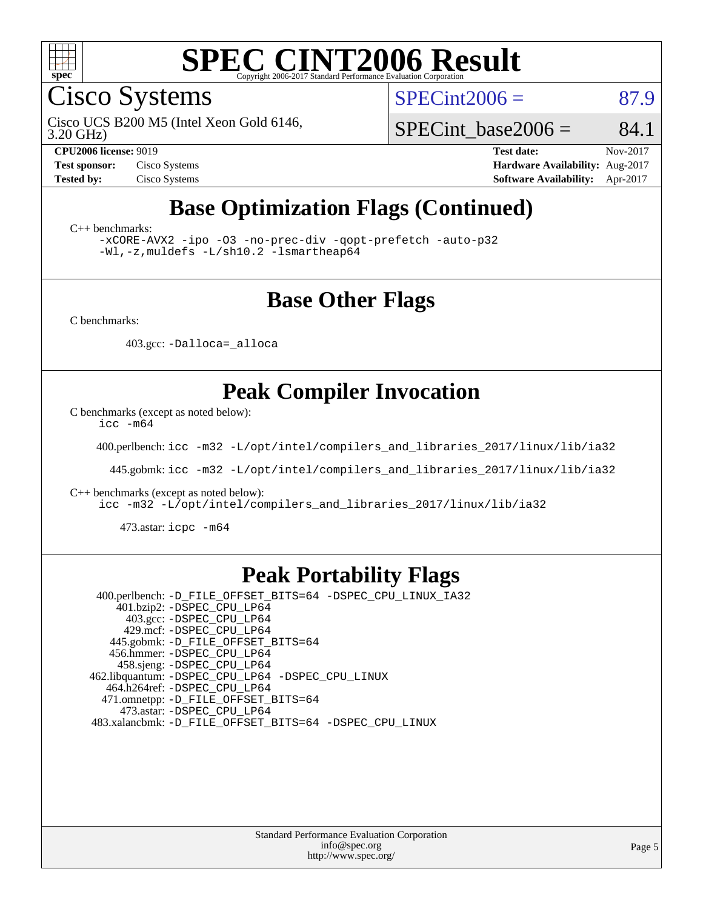

Cisco Systems

 $SPECint2006 = 87.9$  $SPECint2006 = 87.9$ 

3.20 GHz) Cisco UCS B200 M5 (Intel Xeon Gold 6146,

SPECint base2006 =  $84.1$ 

**[CPU2006 license:](http://www.spec.org/auto/cpu2006/Docs/result-fields.html#CPU2006license)** 9019 **[Test date:](http://www.spec.org/auto/cpu2006/Docs/result-fields.html#Testdate)** Nov-2017 **[Test sponsor:](http://www.spec.org/auto/cpu2006/Docs/result-fields.html#Testsponsor)** Cisco Systems **[Hardware Availability:](http://www.spec.org/auto/cpu2006/Docs/result-fields.html#HardwareAvailability)** Aug-2017 **[Tested by:](http://www.spec.org/auto/cpu2006/Docs/result-fields.html#Testedby)** Cisco Systems **[Software Availability:](http://www.spec.org/auto/cpu2006/Docs/result-fields.html#SoftwareAvailability)** Apr-2017

### **[Base Optimization Flags \(Continued\)](http://www.spec.org/auto/cpu2006/Docs/result-fields.html#BaseOptimizationFlags)**

[C++ benchmarks:](http://www.spec.org/auto/cpu2006/Docs/result-fields.html#CXXbenchmarks)

[-xCORE-AVX2](http://www.spec.org/cpu2006/results/res2017q4/cpu2006-20171114-50707.flags.html#user_CXXbase_f-xCORE-AVX2) [-ipo](http://www.spec.org/cpu2006/results/res2017q4/cpu2006-20171114-50707.flags.html#user_CXXbase_f-ipo) [-O3](http://www.spec.org/cpu2006/results/res2017q4/cpu2006-20171114-50707.flags.html#user_CXXbase_f-O3) [-no-prec-div](http://www.spec.org/cpu2006/results/res2017q4/cpu2006-20171114-50707.flags.html#user_CXXbase_f-no-prec-div) [-qopt-prefetch](http://www.spec.org/cpu2006/results/res2017q4/cpu2006-20171114-50707.flags.html#user_CXXbase_f-qopt-prefetch) [-auto-p32](http://www.spec.org/cpu2006/results/res2017q4/cpu2006-20171114-50707.flags.html#user_CXXbase_f-auto-p32) [-Wl,-z,muldefs](http://www.spec.org/cpu2006/results/res2017q4/cpu2006-20171114-50707.flags.html#user_CXXbase_link_force_multiple1_74079c344b956b9658436fd1b6dd3a8a) [-L/sh10.2 -lsmartheap64](http://www.spec.org/cpu2006/results/res2017q4/cpu2006-20171114-50707.flags.html#user_CXXbase_SmartHeap64_63911d860fc08c15fa1d5bf319b9d8d5)

#### **[Base Other Flags](http://www.spec.org/auto/cpu2006/Docs/result-fields.html#BaseOtherFlags)**

[C benchmarks](http://www.spec.org/auto/cpu2006/Docs/result-fields.html#Cbenchmarks):

403.gcc: [-Dalloca=\\_alloca](http://www.spec.org/cpu2006/results/res2017q4/cpu2006-20171114-50707.flags.html#b403.gcc_baseEXTRA_CFLAGS_Dalloca_be3056838c12de2578596ca5467af7f3)

### **[Peak Compiler Invocation](http://www.spec.org/auto/cpu2006/Docs/result-fields.html#PeakCompilerInvocation)**

[C benchmarks \(except as noted below\)](http://www.spec.org/auto/cpu2006/Docs/result-fields.html#Cbenchmarksexceptasnotedbelow):

[icc -m64](http://www.spec.org/cpu2006/results/res2017q4/cpu2006-20171114-50707.flags.html#user_CCpeak_intel_icc_64bit_bda6cc9af1fdbb0edc3795bac97ada53)

400.perlbench: [icc -m32 -L/opt/intel/compilers\\_and\\_libraries\\_2017/linux/lib/ia32](http://www.spec.org/cpu2006/results/res2017q4/cpu2006-20171114-50707.flags.html#user_peakCCLD400_perlbench_intel_icc_c29f3ff5a7ed067b11e4ec10a03f03ae)

445.gobmk: [icc -m32 -L/opt/intel/compilers\\_and\\_libraries\\_2017/linux/lib/ia32](http://www.spec.org/cpu2006/results/res2017q4/cpu2006-20171114-50707.flags.html#user_peakCCLD445_gobmk_intel_icc_c29f3ff5a7ed067b11e4ec10a03f03ae)

[C++ benchmarks \(except as noted below\):](http://www.spec.org/auto/cpu2006/Docs/result-fields.html#CXXbenchmarksexceptasnotedbelow)

[icc -m32 -L/opt/intel/compilers\\_and\\_libraries\\_2017/linux/lib/ia32](http://www.spec.org/cpu2006/results/res2017q4/cpu2006-20171114-50707.flags.html#user_CXXpeak_intel_icc_c29f3ff5a7ed067b11e4ec10a03f03ae)

473.astar: [icpc -m64](http://www.spec.org/cpu2006/results/res2017q4/cpu2006-20171114-50707.flags.html#user_peakCXXLD473_astar_intel_icpc_64bit_fc66a5337ce925472a5c54ad6a0de310)

#### **[Peak Portability Flags](http://www.spec.org/auto/cpu2006/Docs/result-fields.html#PeakPortabilityFlags)**

 400.perlbench: [-D\\_FILE\\_OFFSET\\_BITS=64](http://www.spec.org/cpu2006/results/res2017q4/cpu2006-20171114-50707.flags.html#user_peakPORTABILITY400_perlbench_file_offset_bits_64_438cf9856305ebd76870a2c6dc2689ab) [-DSPEC\\_CPU\\_LINUX\\_IA32](http://www.spec.org/cpu2006/results/res2017q4/cpu2006-20171114-50707.flags.html#b400.perlbench_peakCPORTABILITY_DSPEC_CPU_LINUX_IA32) 401.bzip2: [-DSPEC\\_CPU\\_LP64](http://www.spec.org/cpu2006/results/res2017q4/cpu2006-20171114-50707.flags.html#suite_peakPORTABILITY401_bzip2_DSPEC_CPU_LP64) 403.gcc: [-DSPEC\\_CPU\\_LP64](http://www.spec.org/cpu2006/results/res2017q4/cpu2006-20171114-50707.flags.html#suite_peakPORTABILITY403_gcc_DSPEC_CPU_LP64) 429.mcf: [-DSPEC\\_CPU\\_LP64](http://www.spec.org/cpu2006/results/res2017q4/cpu2006-20171114-50707.flags.html#suite_peakPORTABILITY429_mcf_DSPEC_CPU_LP64) 445.gobmk: [-D\\_FILE\\_OFFSET\\_BITS=64](http://www.spec.org/cpu2006/results/res2017q4/cpu2006-20171114-50707.flags.html#user_peakPORTABILITY445_gobmk_file_offset_bits_64_438cf9856305ebd76870a2c6dc2689ab) 456.hmmer: [-DSPEC\\_CPU\\_LP64](http://www.spec.org/cpu2006/results/res2017q4/cpu2006-20171114-50707.flags.html#suite_peakPORTABILITY456_hmmer_DSPEC_CPU_LP64) 458.sjeng: [-DSPEC\\_CPU\\_LP64](http://www.spec.org/cpu2006/results/res2017q4/cpu2006-20171114-50707.flags.html#suite_peakPORTABILITY458_sjeng_DSPEC_CPU_LP64) 462.libquantum: [-DSPEC\\_CPU\\_LP64](http://www.spec.org/cpu2006/results/res2017q4/cpu2006-20171114-50707.flags.html#suite_peakPORTABILITY462_libquantum_DSPEC_CPU_LP64) [-DSPEC\\_CPU\\_LINUX](http://www.spec.org/cpu2006/results/res2017q4/cpu2006-20171114-50707.flags.html#b462.libquantum_peakCPORTABILITY_DSPEC_CPU_LINUX) 464.h264ref: [-DSPEC\\_CPU\\_LP64](http://www.spec.org/cpu2006/results/res2017q4/cpu2006-20171114-50707.flags.html#suite_peakPORTABILITY464_h264ref_DSPEC_CPU_LP64) 471.omnetpp: [-D\\_FILE\\_OFFSET\\_BITS=64](http://www.spec.org/cpu2006/results/res2017q4/cpu2006-20171114-50707.flags.html#user_peakPORTABILITY471_omnetpp_file_offset_bits_64_438cf9856305ebd76870a2c6dc2689ab) 473.astar: [-DSPEC\\_CPU\\_LP64](http://www.spec.org/cpu2006/results/res2017q4/cpu2006-20171114-50707.flags.html#suite_peakPORTABILITY473_astar_DSPEC_CPU_LP64) 483.xalancbmk: [-D\\_FILE\\_OFFSET\\_BITS=64](http://www.spec.org/cpu2006/results/res2017q4/cpu2006-20171114-50707.flags.html#user_peakPORTABILITY483_xalancbmk_file_offset_bits_64_438cf9856305ebd76870a2c6dc2689ab) [-DSPEC\\_CPU\\_LINUX](http://www.spec.org/cpu2006/results/res2017q4/cpu2006-20171114-50707.flags.html#b483.xalancbmk_peakCXXPORTABILITY_DSPEC_CPU_LINUX)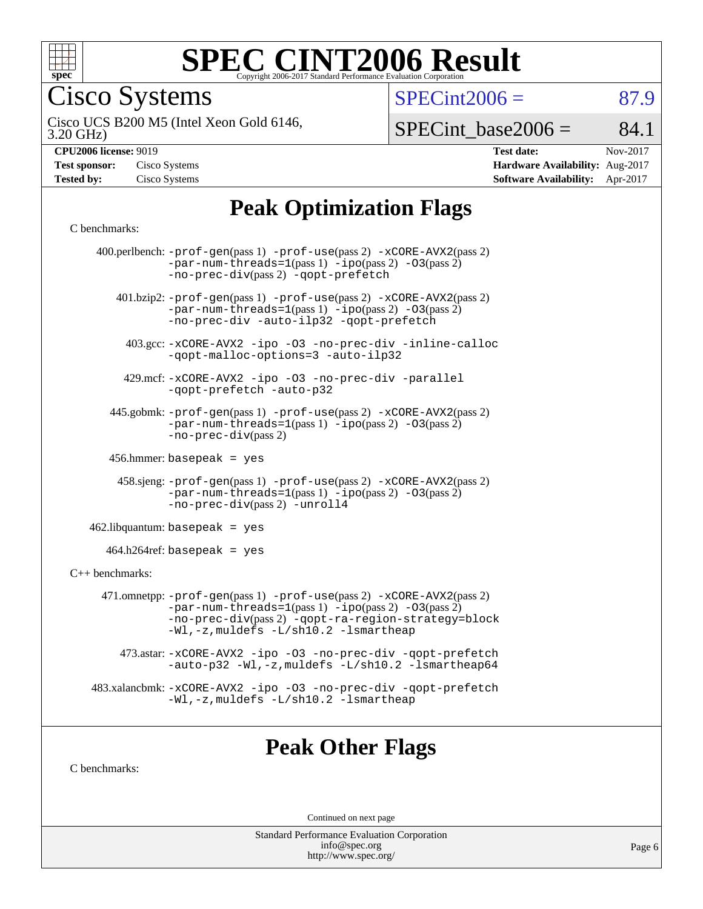

Cisco Systems

 $SPECTnt2006 = 87.9$ 

3.20 GHz) Cisco UCS B200 M5 (Intel Xeon Gold 6146,

 $SPECTnt\_base2006 = 84.1$ 

| <b>Test sponsor:</b> | Cisco Systems |
|----------------------|---------------|
| <b>Tested by:</b>    | Cisco Systems |

**[CPU2006 license:](http://www.spec.org/auto/cpu2006/Docs/result-fields.html#CPU2006license)** 9019 **[Test date:](http://www.spec.org/auto/cpu2006/Docs/result-fields.html#Testdate)** Nov-2017 **[Hardware Availability:](http://www.spec.org/auto/cpu2006/Docs/result-fields.html#HardwareAvailability)** Aug-2017 **[Software Availability:](http://www.spec.org/auto/cpu2006/Docs/result-fields.html#SoftwareAvailability)** Apr-2017

# **[Peak Optimization Flags](http://www.spec.org/auto/cpu2006/Docs/result-fields.html#PeakOptimizationFlags)**

#### [C benchmarks](http://www.spec.org/auto/cpu2006/Docs/result-fields.html#Cbenchmarks):

| 400.perlbench: -prof-gen(pass 1) -prof-use(pass 2) -xCORE-AVX2(pass 2)<br>$-par-num-threads=1(pass 1) -ipo(pass 2) -03(pass 2)$<br>-no-prec-div(pass 2) -qopt-prefetch<br>401.bzip2: -prof-gen(pass 1) -prof-use(pass 2) -xCORE-AVX2(pass 2)<br>$-par-num-threads=1(pass 1) -ipo(pass 2) -03(pass 2)$<br>-no-prec-div -auto-ilp32 -qopt-prefetch<br>403.gcc: -xCORE-AVX2 -ipo -03 -no-prec-div -inline-calloc<br>-qopt-malloc-options=3 -auto-ilp32<br>429.mcf: -xCORE-AVX2 -ipo -03 -no-prec-div -parallel<br>-qopt-prefetch -auto-p32<br>445.gobmk: -prof-gen(pass 1) -prof-use(pass 2) -xCORE-AVX2(pass 2)<br>$-par-num-threads=1(pass 1) -ipo(pass 2) -03(pass 2)$<br>$-no-prec-div(pass 2)$<br>$456.$ hmmer: basepeak = yes<br>458.sjeng: -prof-gen(pass 1) -prof-use(pass 2) -xCORE-AVX2(pass 2)<br>$-par-num-threads=1(pass 1) -ipo(pass 2) -03(pass 2)$<br>-no-prec-div(pass 2) -unroll4<br>$462$ .libquantum: basepeak = yes<br>$464.h264$ ref: basepeak = yes<br>$C++$ benchmarks:<br>471.omnetpp: -prof-gen(pass 1) -prof-use(pass 2) -xCORE-AVX2(pass 2)<br>$-par-num-threads=1(pass 1) -ipo(pass 2) -03(pass 2)$<br>-no-prec-div(pass 2) -qopt-ra-region-strategy=block<br>-Wl,-z, muldefs -L/sh10.2 -lsmartheap<br>473.astar: -xCORE-AVX2 -ipo -03 -no-prec-div -qopt-prefetch<br>-auto-p32 -Wl,-z, muldefs -L/sh10.2 -lsmartheap64<br>483.xalancbmk: -xCORE-AVX2 -ipo -03 -no-prec-div -qopt-prefetch<br>-Wl,-z, muldefs -L/sh10.2 -lsmartheap |  |
|---------------------------------------------------------------------------------------------------------------------------------------------------------------------------------------------------------------------------------------------------------------------------------------------------------------------------------------------------------------------------------------------------------------------------------------------------------------------------------------------------------------------------------------------------------------------------------------------------------------------------------------------------------------------------------------------------------------------------------------------------------------------------------------------------------------------------------------------------------------------------------------------------------------------------------------------------------------------------------------------------------------------------------------------------------------------------------------------------------------------------------------------------------------------------------------------------------------------------------------------------------------------------------------------------------------------------------------------------------------------------------------------------------------------------------------------------------------|--|
|                                                                                                                                                                                                                                                                                                                                                                                                                                                                                                                                                                                                                                                                                                                                                                                                                                                                                                                                                                                                                                                                                                                                                                                                                                                                                                                                                                                                                                                               |  |
|                                                                                                                                                                                                                                                                                                                                                                                                                                                                                                                                                                                                                                                                                                                                                                                                                                                                                                                                                                                                                                                                                                                                                                                                                                                                                                                                                                                                                                                               |  |
|                                                                                                                                                                                                                                                                                                                                                                                                                                                                                                                                                                                                                                                                                                                                                                                                                                                                                                                                                                                                                                                                                                                                                                                                                                                                                                                                                                                                                                                               |  |
|                                                                                                                                                                                                                                                                                                                                                                                                                                                                                                                                                                                                                                                                                                                                                                                                                                                                                                                                                                                                                                                                                                                                                                                                                                                                                                                                                                                                                                                               |  |
|                                                                                                                                                                                                                                                                                                                                                                                                                                                                                                                                                                                                                                                                                                                                                                                                                                                                                                                                                                                                                                                                                                                                                                                                                                                                                                                                                                                                                                                               |  |
|                                                                                                                                                                                                                                                                                                                                                                                                                                                                                                                                                                                                                                                                                                                                                                                                                                                                                                                                                                                                                                                                                                                                                                                                                                                                                                                                                                                                                                                               |  |
|                                                                                                                                                                                                                                                                                                                                                                                                                                                                                                                                                                                                                                                                                                                                                                                                                                                                                                                                                                                                                                                                                                                                                                                                                                                                                                                                                                                                                                                               |  |
|                                                                                                                                                                                                                                                                                                                                                                                                                                                                                                                                                                                                                                                                                                                                                                                                                                                                                                                                                                                                                                                                                                                                                                                                                                                                                                                                                                                                                                                               |  |
|                                                                                                                                                                                                                                                                                                                                                                                                                                                                                                                                                                                                                                                                                                                                                                                                                                                                                                                                                                                                                                                                                                                                                                                                                                                                                                                                                                                                                                                               |  |
|                                                                                                                                                                                                                                                                                                                                                                                                                                                                                                                                                                                                                                                                                                                                                                                                                                                                                                                                                                                                                                                                                                                                                                                                                                                                                                                                                                                                                                                               |  |
|                                                                                                                                                                                                                                                                                                                                                                                                                                                                                                                                                                                                                                                                                                                                                                                                                                                                                                                                                                                                                                                                                                                                                                                                                                                                                                                                                                                                                                                               |  |
|                                                                                                                                                                                                                                                                                                                                                                                                                                                                                                                                                                                                                                                                                                                                                                                                                                                                                                                                                                                                                                                                                                                                                                                                                                                                                                                                                                                                                                                               |  |
|                                                                                                                                                                                                                                                                                                                                                                                                                                                                                                                                                                                                                                                                                                                                                                                                                                                                                                                                                                                                                                                                                                                                                                                                                                                                                                                                                                                                                                                               |  |
|                                                                                                                                                                                                                                                                                                                                                                                                                                                                                                                                                                                                                                                                                                                                                                                                                                                                                                                                                                                                                                                                                                                                                                                                                                                                                                                                                                                                                                                               |  |

### **[Peak Other Flags](http://www.spec.org/auto/cpu2006/Docs/result-fields.html#PeakOtherFlags)**

[C benchmarks](http://www.spec.org/auto/cpu2006/Docs/result-fields.html#Cbenchmarks):

Continued on next page